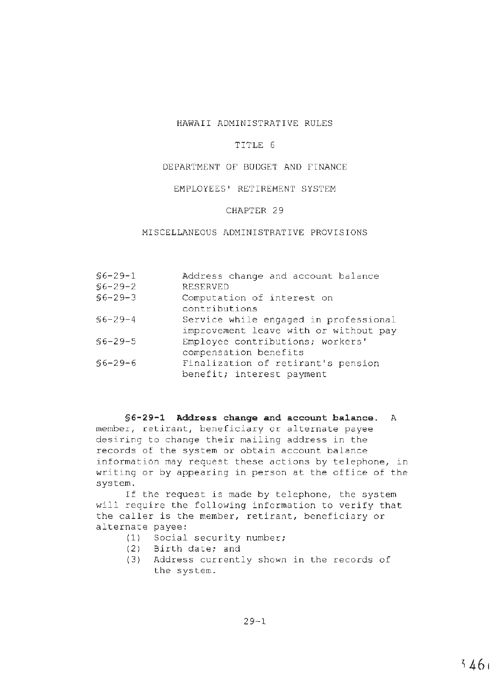## HAWAII ADMINISTRATIVE RULES

#### TITLE 6

## DEPARTMENT OF BUDGET AND FINANCE

## EMPLOYEES' RETIREMENT SYSTEM

#### CHAPTER 29

# MISCELLANEOUS ADMINISTRATIVE PROVISIONS

| $$6 - 29 - 1$<br>$$6 - 29 - 2$ | Address change and account balance<br><b>RESERVED</b>                          |
|--------------------------------|--------------------------------------------------------------------------------|
| $$6 - 29 - 3$                  | Computation of interest on<br>contributions                                    |
| $$6 - 29 - 4$                  | Service while engaged in professional<br>improvement leave with or without pay |
| $$6 - 29 - 5$                  | Employee contributions; workers'<br>compensation benefits                      |
| $$6 - 29 - 6$                  | Finalization of retirant's pension<br>benefit; interest payment                |

**§6-29-1 Address change and account balance.** <sup>A</sup> member, retirant, beneficiary or alternate payee desiring to change their mailing address in the records of the system or obtain account balance information may request these actions by telephone, in writing or by appearing in person at the office of the system.

If the request is made by telephone, the system will require the following information to verify that the caller is the member, retirant, beneficiary or alternate payee:

- (1) Social security number;
- (2) Birth date; and
- (3) Address currently shown in the records of the system.

 $29 - 1$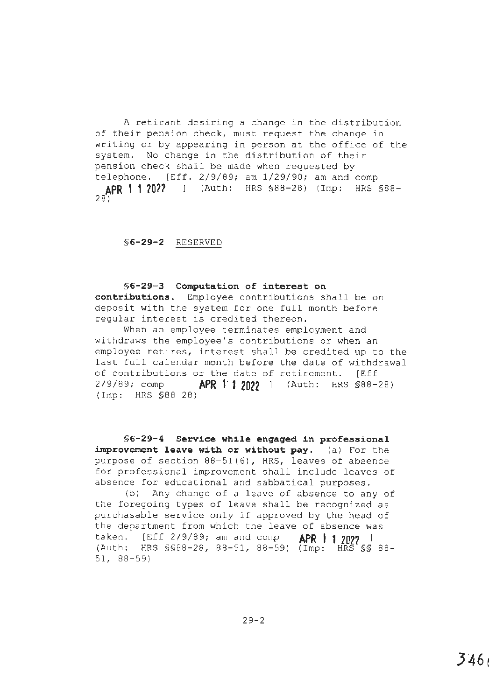A retirant desiring a change in the distribution of their pension check, must request the change in writing or by appearing in person at the office of the system. No change in the distribution of their pension check shall be made when requested by telephone. [Eff. 2/9/89; am 1/29/90; am and comp **APR 1 1 10?2** l (Auth: HRS §88-28) (Imp: HRS §88- 28)

**§6-29-2** RESERVED

**§6-29-3 Computation of interest on contributions.** Employee contributions shall be on deposit with the system for one full month before regular interest is credited thereon.

When an employee terminates employment and withdraws the employee's contributions or when an employee retires, interest shall be credited up to the last full calendar month before the date of withdrawal of contributions or the date of retirement. [Eff <sup>2</sup> /9/8 9; comp **APR t· 1 2022** ] (Auth: HRS §88-28) {Imp: HRS §88-28)

**§6-29-4 Service whi1e engaged in professional improvement leave with or without pay.** (a) For the purpose of section 88-51(6), HRS, leaves of absence for professional improvement shall include leaves of absence for educational and sabbatical purposes.

(b) Any change of a leave of absence to any of the foregoing types of leave shall be recognized as purchasable service only if approved by the head of the department from which the leave of absence was taken. [Eff 2/9/89; am and comp **APR 1 1 202?** <sup>I</sup> (Auth; HRS §§88-28, 88-51, 88-59) (Imp: HRS§§ 88- 51, 88-59)

29-2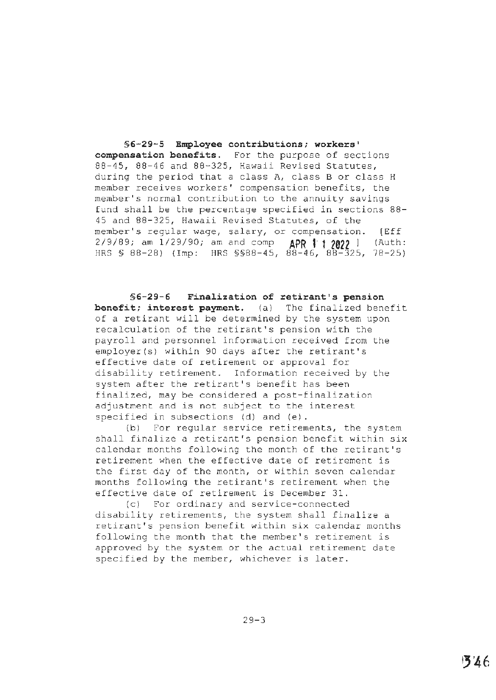**§6-29-5 Employee contributions; workers' compensation benefits.** For the purpose of sections 88-45, 88-46 and 88-325, Hawaii Revised Statutes, during the period that a class A, class B or class H member receives workers' compensation benefits, the member's normal contribution to the annuity savings fund shall be the percentage specified in sections 88- 45 and 88-325, Hawaii Revised Statutes, of the member's regular wage, salary, or compensation. [Eff 2/9/89; am 1/29/90; am and comp **APR 1 t 2022** l (Auth: HRS § 88-28) (Imp: HRS §§88-45, 88-46, 88-325, 78-25)

**§6-29-6 Finalization of retirant's pension benefit; interest payment.** (a) The finalized benefit of a retirant will be determined by the system upon recalculation of the retirant's pension with the payroll and personnel information received from the employer(s) within 90 days after the retirant's effective date of retirement or approval for disability retirement. Information received by the system after the retirant's benefit has been finalized, may be considered a post-finalization adjustment and is not subject to the interest specified in subsections (d) and (e).

(b) For regular service retirements, the system shall finalize a retirant's pension benefit within six calendar months following the month of the retirant's retirement when the effective date of retirement is the first day of the month, or within seven calendar months following the retirant's retirement when the effective date of retirement is December 31.

{c) For ordinary and service-connected disability retirements, the system shall finalize a retirant's pension benefit within six calendar months following the month that the member's retirement is approved by the system or the actual retirement date specified by the member, whichever is later.